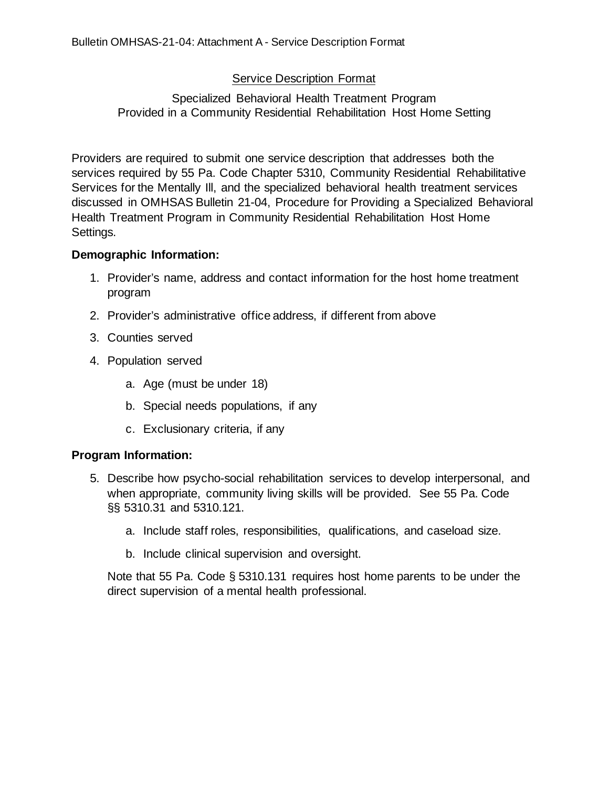## Service Description Format

## Specialized Behavioral Health Treatment Program Provided in a Community Residential Rehabilitation Host Home Setting

Providers are required to submit one service description that addresses both the services required by 55 Pa. Code Chapter 5310, Community Residential Rehabilitative Services for the Mentally Ill, and the specialized behavioral health treatment services discussed in OMHSAS Bulletin 21-04, Procedure for Providing a Specialized Behavioral Health Treatment Program in Community Residential Rehabilitation Host Home Settings.

## **Demographic Information:**

- 1. Provider's name, address and contact information for the host home treatment program
- 2. Provider's administrative office address, if different from above
- 3. Counties served
- 4. Population served
	- a. Age (must be under 18)
	- b. Special needs populations, if any
	- c. Exclusionary criteria, if any

## **Program Information:**

- 5. Describe how psycho-social rehabilitation services to develop interpersonal, and when appropriate, community living skills will be provided. See 55 Pa. Code §§ 5310.31 and 5310.121.
	- a. Include staff roles, responsibilities, qualifications, and caseload size.
	- b. Include clinical supervision and oversight.

Note that 55 Pa. Code § 5310.131 requires host home parents to be under the direct supervision of a mental health professional.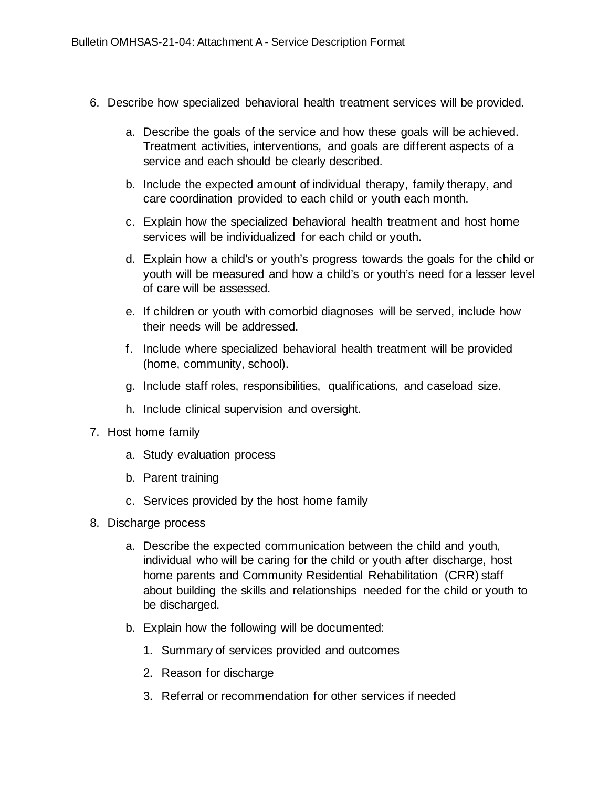- 6. Describe how specialized behavioral health treatment services will be provided.
	- a. Describe the goals of the service and how these goals will be achieved. Treatment activities, interventions, and goals are different aspects of a service and each should be clearly described.
	- b. Include the expected amount of individual therapy, family therapy, and care coordination provided to each child or youth each month.
	- c. Explain how the specialized behavioral health treatment and host home services will be individualized for each child or youth.
	- d. Explain how a child's or youth's progress towards the goals for the child or youth will be measured and how a child's or youth's need for a lesser level of care will be assessed.
	- e. If children or youth with comorbid diagnoses will be served, include how their needs will be addressed.
	- f. Include where specialized behavioral health treatment will be provided (home, community, school).
	- g. Include staff roles, responsibilities, qualifications, and caseload size.
	- h. Include clinical supervision and oversight.
- 7. Host home family
	- a. Study evaluation process
	- b. Parent training
	- c. Services provided by the host home family
- 8. Discharge process
	- a. Describe the expected communication between the child and youth, individual who will be caring for the child or youth after discharge, host home parents and Community Residential Rehabilitation (CRR) staff about building the skills and relationships needed for the child or youth to be discharged.
	- b. Explain how the following will be documented:
		- 1. Summary of services provided and outcomes
		- 2. Reason for discharge
		- 3. Referral or recommendation for other services if needed